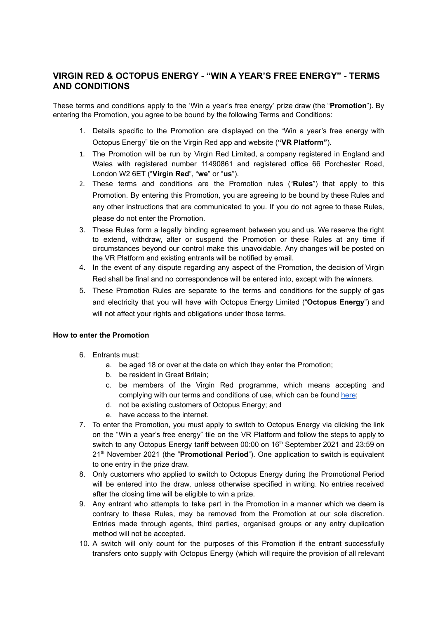# **VIRGIN RED & OCTOPUS ENERGY - "WIN A YEAR'S FREE ENERGY" - TERMS AND CONDITIONS**

These terms and conditions apply to the 'Win a year's free energy' prize draw (the "**Promotion**"). By entering the Promotion, you agree to be bound by the following Terms and Conditions:

- 1. Details specific to the Promotion are displayed on the "Win a year's free energy with Octopus Energy" tile on the Virgin Red app and website (**"VR Platform"**).
- 1. The Promotion will be run by Virgin Red Limited, a company registered in England and Wales with registered number 11490861 and registered office 66 Porchester Road, London W2 6ET ("**Virgin Red**", "**we**" or "**us**").
- 2. These terms and conditions are the Promotion rules ("**Rules**") that apply to this Promotion. By entering this Promotion, you are agreeing to be bound by these Rules and any other instructions that are communicated to you. If you do not agree to these Rules, please do not enter the Promotion.
- 3. These Rules form a legally binding agreement between you and us. We reserve the right to extend, withdraw, alter or suspend the Promotion or these Rules at any time if circumstances beyond our control make this unavoidable. Any changes will be posted on the VR Platform and existing entrants will be notified by email.
- 4. In the event of any dispute regarding any aspect of the Promotion, the decision of Virgin Red shall be final and no correspondence will be entered into, except with the winners.
- 5. These Promotion Rules are separate to the terms and conditions for the supply of gas and electricity that you will have with Octopus Energy Limited ("**Octopus Energy**") and will not affect your rights and obligations under those terms.

### **How to enter the Promotion**

- 6. Entrants must:
	- a. be aged 18 or over at the date on which they enter the Promotion;
	- b. be resident in Great Britain;
	- c. be members of the Virgin Red programme, which means accepting and complying with our terms and conditions of use, which can be found [here](https://www.virgin.com/virgin-red/terms-and-conditions);
	- d. not be existing customers of Octopus Energy; and
	- e. have access to the internet.
- 7. To enter the Promotion, you must apply to switch to Octopus Energy via clicking the link on the "Win a year's free energy" tile on the VR Platform and follow the steps to apply to switch to any Octopus Energy tariff between 00:00 on 16<sup>th</sup> September 2021 and 23:59 on 21<sup>th</sup> November 2021 (the "**Promotional Period**"). One application to switch is equivalent to one entry in the prize draw.
- 8. Only customers who applied to switch to Octopus Energy during the Promotional Period will be entered into the draw, unless otherwise specified in writing. No entries received after the closing time will be eligible to win a prize.
- 9. Any entrant who attempts to take part in the Promotion in a manner which we deem is contrary to these Rules, may be removed from the Promotion at our sole discretion. Entries made through agents, third parties, organised groups or any entry duplication method will not be accepted.
- 10. A switch will only count for the purposes of this Promotion if the entrant successfully transfers onto supply with Octopus Energy (which will require the provision of all relevant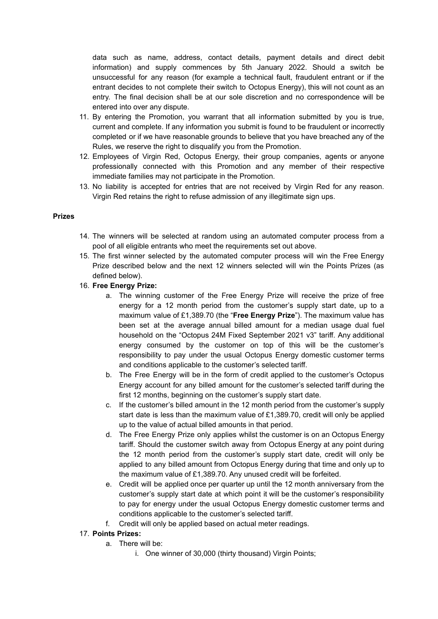data such as name, address, contact details, payment details and direct debit information) and supply commences by 5th January 2022. Should a switch be unsuccessful for any reason (for example a technical fault, fraudulent entrant or if the entrant decides to not complete their switch to Octopus Energy), this will not count as an entry. The final decision shall be at our sole discretion and no correspondence will be entered into over any dispute.

- 11. By entering the Promotion, you warrant that all information submitted by you is true, current and complete. If any information you submit is found to be fraudulent or incorrectly completed or if we have reasonable grounds to believe that you have breached any of the Rules, we reserve the right to disqualify you from the Promotion.
- 12. Employees of Virgin Red, Octopus Energy, their group companies, agents or anyone professionally connected with this Promotion and any member of their respective immediate families may not participate in the Promotion.
- 13. No liability is accepted for entries that are not received by Virgin Red for any reason. Virgin Red retains the right to refuse admission of any illegitimate sign ups.

#### **Prizes**

- 14. The winners will be selected at random using an automated computer process from a pool of all eligible entrants who meet the requirements set out above.
- 15. The first winner selected by the automated computer process will win the Free Energy Prize described below and the next 12 winners selected will win the Points Prizes (as defined below).
- 16. **Free Energy Prize:**
	- a. The winning customer of the Free Energy Prize will receive the prize of free energy for a 12 month period from the customer's supply start date, up to a maximum value of £1,389.70 (the "**Free Energy Prize**"). The maximum value has been set at the average annual billed amount for a median usage dual fuel household on the "Octopus 24M Fixed September 2021 v3" tariff. Any additional energy consumed by the customer on top of this will be the customer's responsibility to pay under the usual Octopus Energy domestic customer terms and conditions applicable to the customer's selected tariff.
	- b. The Free Energy will be in the form of credit applied to the customer's Octopus Energy account for any billed amount for the customer's selected tariff during the first 12 months, beginning on the customer's supply start date.
	- c. If the customer's billed amount in the 12 month period from the customer's supply start date is less than the maximum value of £1,389.70, credit will only be applied up to the value of actual billed amounts in that period.
	- d. The Free Energy Prize only applies whilst the customer is on an Octopus Energy tariff. Should the customer switch away from Octopus Energy at any point during the 12 month period from the customer's supply start date, credit will only be applied to any billed amount from Octopus Energy during that time and only up to the maximum value of £1,389.70. Any unused credit will be forfeited.
	- e. Credit will be applied once per quarter up until the 12 month anniversary from the customer's supply start date at which point it will be the customer's responsibility to pay for energy under the usual Octopus Energy domestic customer terms and conditions applicable to the customer's selected tariff.
	- f. Credit will only be applied based on actual meter readings.
- 17. **Points Prizes:**
	- a. There will be:
		- i. One winner of 30,000 (thirty thousand) Virgin Points;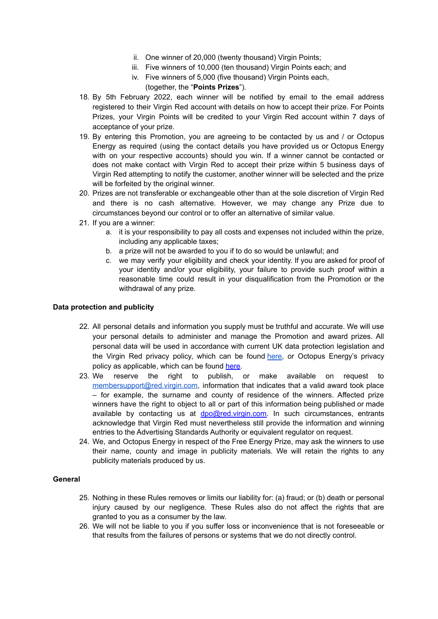- ii. One winner of 20,000 (twenty thousand) Virgin Points;
- iii. Five winners of 10,000 (ten thousand) Virgin Points each; and
- iv. Five winners of 5,000 (five thousand) Virgin Points each,

# (together, the "**Points Prizes**").

- 18. By 5th February 2022, each winner will be notified by email to the email address registered to their Virgin Red account with details on how to accept their prize. For Points Prizes, your Virgin Points will be credited to your Virgin Red account within 7 days of acceptance of your prize.
- 19. By entering this Promotion, you are agreeing to be contacted by us and / or Octopus Energy as required (using the contact details you have provided us or Octopus Energy with on your respective accounts) should you win. If a winner cannot be contacted or does not make contact with Virgin Red to accept their prize within 5 business days of Virgin Red attempting to notify the customer, another winner will be selected and the prize will be forfeited by the original winner.
- 20. Prizes are not transferable or exchangeable other than at the sole discretion of Virgin Red and there is no cash alternative. However, we may change any Prize due to circumstances beyond our control or to offer an alternative of similar value.
- 21. If you are a winner:
	- a. it is your responsibility to pay all costs and expenses not included within the prize, including any applicable taxes;
	- b. a prize will not be awarded to you if to do so would be unlawful; and
	- c. we may verify your eligibility and check your identity. If you are asked for proof of your identity and/or your eligibility, your failure to provide such proof within a reasonable time could result in your disqualification from the Promotion or the withdrawal of any prize.

#### **Data protection and publicity**

- 22. All personal details and information you supply must be truthful and accurate. We will use your personal details to administer and manage the Promotion and award prizes. All personal data will be used in accordance with current UK data protection legislation and the Virgin Red privacy policy, which can be found [here,](https://www.virgin.com/virgin-red/privacy-policy) or Octopus Energy's privacy policy as applicable, which can be found [here](https://octopus.energy/policies/privacy-policy/).
- 23. We reserve the right to publish, or make available on request to [membersupport@red.virgin.com,](mailto:membersupport@red.virgin.com) information that indicates that a valid award took place – for example, the surname and county of residence of the winners. Affected prize winners have the right to object to all or part of this information being published or made available by contacting us at [dpo@red.virgin.com.](mailto:dpo@red.virgin.com) In such circumstances, entrants acknowledge that Virgin Red must nevertheless still provide the information and winning entries to the Advertising Standards Authority or equivalent regulator on request.
- 24. We, and Octopus Energy in respect of the Free Energy Prize, may ask the winners to use their name, county and image in publicity materials. We will retain the rights to any publicity materials produced by us.

# **General**

- 25. Nothing in these Rules removes or limits our liability for: (a) fraud; or (b) death or personal injury caused by our negligence. These Rules also do not affect the rights that are granted to you as a consumer by the law.
- 26. We will not be liable to you if you suffer loss or inconvenience that is not foreseeable or that results from the failures of persons or systems that we do not directly control.